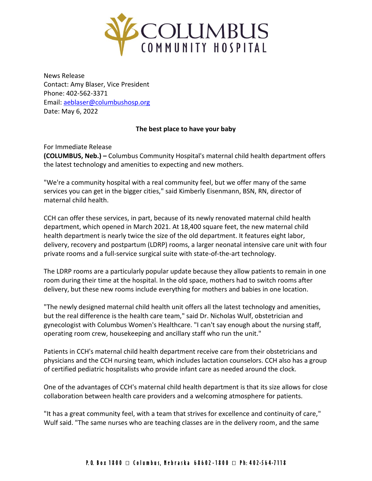

News Release Contact: Amy Blaser, Vice President Phone: 402-562-3371 Email: [aeblaser@columbushosp.org](mailto:aeblaser@columbushosp.org) Date: May 6, 2022

## **The best place to have your baby**

For Immediate Release **(COLUMBUS, Neb.) –** Columbus Community Hospital's maternal child health department offers the latest technology and amenities to expecting and new mothers.

"We're a community hospital with a real community feel, but we offer many of the same services you can get in the bigger cities," said Kimberly Eisenmann, BSN, RN, director of maternal child health.

CCH can offer these services, in part, because of its newly renovated maternal child health department, which opened in March 2021. At 18,400 square feet, the new maternal child health department is nearly twice the size of the old department. It features eight labor, delivery, recovery and postpartum (LDRP) rooms, a larger neonatal intensive care unit with four private rooms and a full-service surgical suite with state-of-the-art technology.

The LDRP rooms are a particularly popular update because they allow patients to remain in one room during their time at the hospital. In the old space, mothers had to switch rooms after delivery, but these new rooms include everything for mothers and babies in one location.

"The newly designed maternal child health unit offers all the latest technology and amenities, but the real difference is the health care team," said Dr. Nicholas Wulf, obstetrician and gynecologist with Columbus Women's Healthcare. "I can't say enough about the nursing staff, operating room crew, housekeeping and ancillary staff who run the unit."

Patients in CCH's maternal child health department receive care from their obstetricians and physicians and the CCH nursing team, which includes lactation counselors. CCH also has a group of certified pediatric hospitalists who provide infant care as needed around the clock.

One of the advantages of CCH's maternal child health department is that its size allows for close collaboration between health care providers and a welcoming atmosphere for patients.

"It has a great community feel, with a team that strives for excellence and continuity of care," Wulf said. "The same nurses who are teaching classes are in the delivery room, and the same